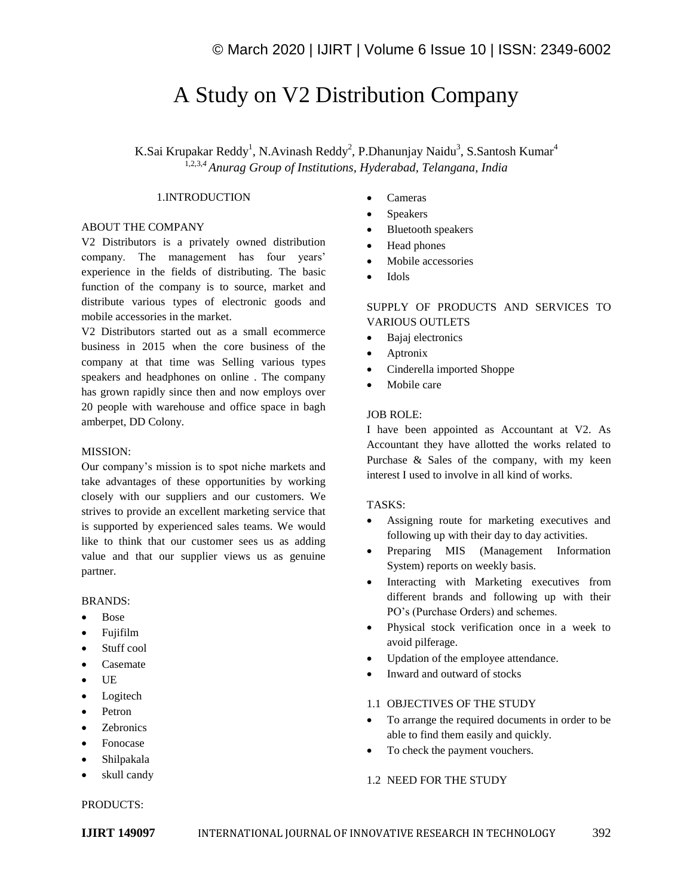# A Study on V2 Distribution Company

K.Sai Krupakar Reddy<sup>1</sup>, N.Avinash Reddy<sup>2</sup>, P.Dhanunjay Naidu<sup>3</sup>, S.Santosh Kumar<sup>4</sup> 1,2,3,*<sup>4</sup>Anurag Group of Institutions, Hyderabad, Telangana, India*

#### 1.INTRODUCTION

# ABOUT THE COMPANY

V2 Distributors is a privately owned distribution company. The management has four years' experience in the fields of distributing. The basic function of the company is to source, market and distribute various types of electronic goods and mobile accessories in the market.

V2 Distributors started out as a small ecommerce business in 2015 when the core business of the company at that time was Selling various types speakers and headphones on online . The company has grown rapidly since then and now employs over 20 people with warehouse and office space in bagh amberpet, DD Colony.

#### MISSION:

Our company's mission is to spot niche markets and take advantages of these opportunities by working closely with our suppliers and our customers. We strives to provide an excellent marketing service that is supported by experienced sales teams. We would like to think that our customer sees us as adding value and that our supplier views us as genuine partner.

#### BRANDS:

- Bose
- Fujifilm
- Stuff cool
- Casemate
- UE
- Logitech
- Petron
- Zebronics
- Fonocase
- Shilpakala
- skull candy

#### PRODUCTS:

- Cameras
- Speakers
- Bluetooth speakers
- Head phones
- Mobile accessories
- Idols

# SUPPLY OF PRODUCTS AND SERVICES TO VARIOUS OUTLETS

- Bajaj electronics
- Aptronix
- Cinderella imported Shoppe
- Mobile care

#### JOB ROLE:

I have been appointed as Accountant at V2. As Accountant they have allotted the works related to Purchase & Sales of the company, with my keen interest I used to involve in all kind of works.

#### TASKS:

- Assigning route for marketing executives and following up with their day to day activities.
- Preparing MIS (Management Information System) reports on weekly basis.
- Interacting with Marketing executives from different brands and following up with their PO's (Purchase Orders) and schemes.
- Physical stock verification once in a week to avoid pilferage.
- Updation of the employee attendance.
- Inward and outward of stocks

# 1.1 OBJECTIVES OF THE STUDY

- To arrange the required documents in order to be able to find them easily and quickly.
- To check the payment vouchers.

#### 1.2 NEED FOR THE STUDY

**IJIRT 149097** INTERNATIONAL JOURNAL OF INNOVATIVE RESEARCH IN TECHNOLOGY 392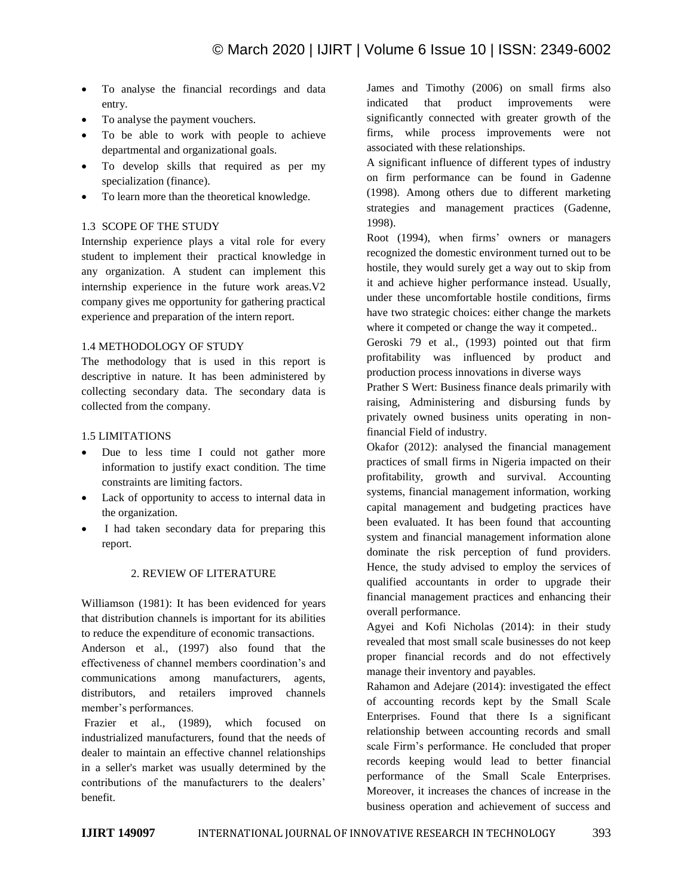- To analyse the financial recordings and data entry.
- To analyse the payment vouchers.
- To be able to work with people to achieve departmental and organizational goals.
- To develop skills that required as per my specialization (finance).
- To learn more than the theoretical knowledge.

# 1.3 SCOPE OF THE STUDY

Internship experience plays a vital role for every student to implement their practical knowledge in any organization. A student can implement this internship experience in the future work areas.V2 company gives me opportunity for gathering practical experience and preparation of the intern report.

## 1.4 METHODOLOGY OF STUDY

The methodology that is used in this report is descriptive in nature. It has been administered by collecting secondary data. The secondary data is collected from the company.

# 1.5 LIMITATIONS

- Due to less time I could not gather more information to justify exact condition. The time constraints are limiting factors.
- Lack of opportunity to access to internal data in the organization.
- I had taken secondary data for preparing this report.

# 2. REVIEW OF LITERATURE

Williamson (1981): It has been evidenced for years that distribution channels is important for its abilities to reduce the expenditure of economic transactions.

Anderson et al., (1997) also found that the effectiveness of channel members coordination's and communications among manufacturers, agents, distributors, and retailers improved channels member's performances.

Frazier et al., (1989), which focused on industrialized manufacturers, found that the needs of dealer to maintain an effective channel relationships in a seller's market was usually determined by the contributions of the manufacturers to the dealers' benefit.

James and Timothy (2006) on small firms also indicated that product improvements were significantly connected with greater growth of the firms, while process improvements were not associated with these relationships.

A significant influence of different types of industry on firm performance can be found in Gadenne (1998). Among others due to different marketing strategies and management practices (Gadenne, 1998).

Root (1994), when firms' owners or managers recognized the domestic environment turned out to be hostile, they would surely get a way out to skip from it and achieve higher performance instead. Usually, under these uncomfortable hostile conditions, firms have two strategic choices: either change the markets where it competed or change the way it competed..

Geroski 79 et al., (1993) pointed out that firm profitability was influenced by product and production process innovations in diverse ways

Prather S Wert: Business finance deals primarily with raising, Administering and disbursing funds by privately owned business units operating in nonfinancial Field of industry.

Okafor (2012): analysed the financial management practices of small firms in Nigeria impacted on their profitability, growth and survival. Accounting systems, financial management information, working capital management and budgeting practices have been evaluated. It has been found that accounting system and financial management information alone dominate the risk perception of fund providers. Hence, the study advised to employ the services of qualified accountants in order to upgrade their financial management practices and enhancing their overall performance.

Agyei and Kofi Nicholas (2014): in their study revealed that most small scale businesses do not keep proper financial records and do not effectively manage their inventory and payables.

Rahamon and Adejare (2014): investigated the effect of accounting records kept by the Small Scale Enterprises. Found that there Is a significant relationship between accounting records and small scale Firm's performance. He concluded that proper records keeping would lead to better financial performance of the Small Scale Enterprises. Moreover, it increases the chances of increase in the business operation and achievement of success and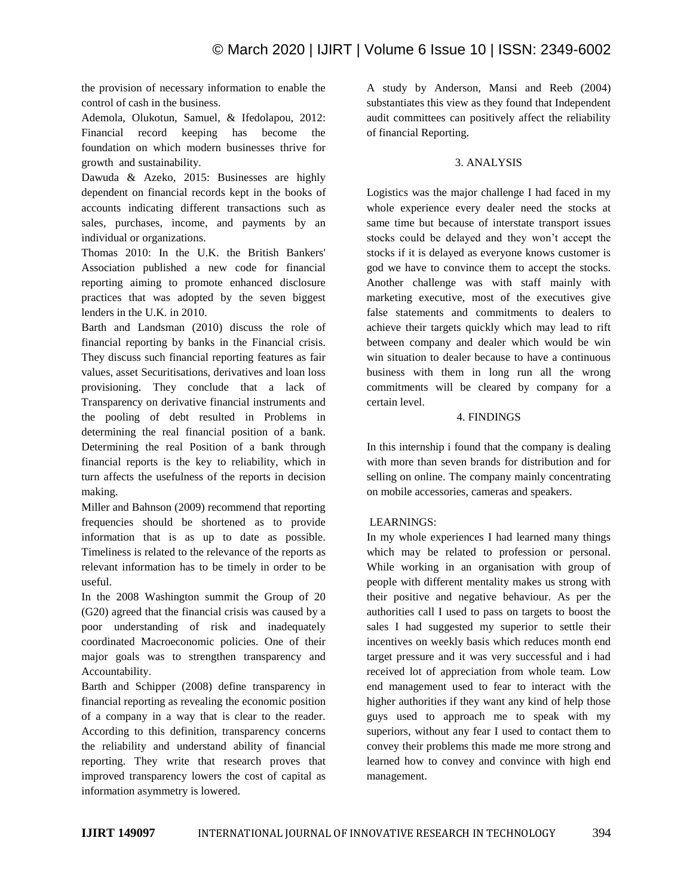the provision of necessary information to enable the control of cash in the business.

Ademola, Olukotun, Samuel, & Ifedolapou, 2012: Financial record keeping has become the foundation on which modern businesses thrive for growth and sustainability.

Dawuda & Azeko, 2015: Businesses are highly dependent on financial records kept in the books of accounts indicating different transactions such as sales, purchases, income, and payments by an individual or organizations.

Thomas 2010: In the U.K. the British Bankers' Association published a new code for financial reporting aiming to promote enhanced disclosure practices that was adopted by the seven biggest lenders in the U.K. in 2010.

Barth and Landsman (2010) discuss the role of financial reporting by banks in the Financial crisis. They discuss such financial reporting features as fair values, asset Securitisations, derivatives and loan loss provisioning. They conclude that a lack of Transparency on derivative financial instruments and the pooling of debt resulted in Problems in determining the real financial position of a bank. Determining the real Position of a bank through financial reports is the key to reliability, which in turn affects the usefulness of the reports in decision making.

Miller and Bahnson (2009) recommend that reporting frequencies should be shortened as to provide information that is as up to date as possible. Timeliness is related to the relevance of the reports as relevant information has to be timely in order to be useful.

In the 2008 Washington summit the Group of 20 (G20) agreed that the financial crisis was caused by a poor understanding of risk and inadequately coordinated Macroeconomic policies. One of their major goals was to strengthen transparency and Accountability.

Barth and Schipper (2008) define transparency in financial reporting as revealing the economic position of a company in a way that is clear to the reader. According to this definition, transparency concerns the reliability and understand ability of financial reporting. They write that research proves that improved transparency lowers the cost of capital as information asymmetry is lowered.

A study by Anderson, Mansi and Reeb (2004) substantiates this view as they found that Independent audit committees can positively affect the reliability of financial Reporting.

# 3. ANALYSIS

Logistics was the major challenge I had faced in my whole experience every dealer need the stocks at same time but because of interstate transport issues stocks could be delayed and they won't accept the stocks if it is delayed as everyone knows customer is god we have to convince them to accept the stocks. Another challenge was with staff mainly with marketing executive, most of the executives give false statements and commitments to dealers to achieve their targets quickly which may lead to rift between company and dealer which would be win win situation to dealer because to have a continuous business with them in long run all the wrong commitments will be cleared by company for a certain level.

## 4. FINDINGS

In this internship i found that the company is dealing with more than seven brands for distribution and for selling on online. The company mainly concentrating on mobile accessories, cameras and speakers.

## LEARNINGS:

In my whole experiences I had learned many things which may be related to profession or personal. While working in an organisation with group of people with different mentality makes us strong with their positive and negative behaviour. As per the authorities call I used to pass on targets to boost the sales I had suggested my superior to settle their incentives on weekly basis which reduces month end target pressure and it was very successful and i had received lot of appreciation from whole team. Low end management used to fear to interact with the higher authorities if they want any kind of help those guys used to approach me to speak with my superiors, without any fear I used to contact them to convey their problems this made me more strong and learned how to convey and convince with high end management.